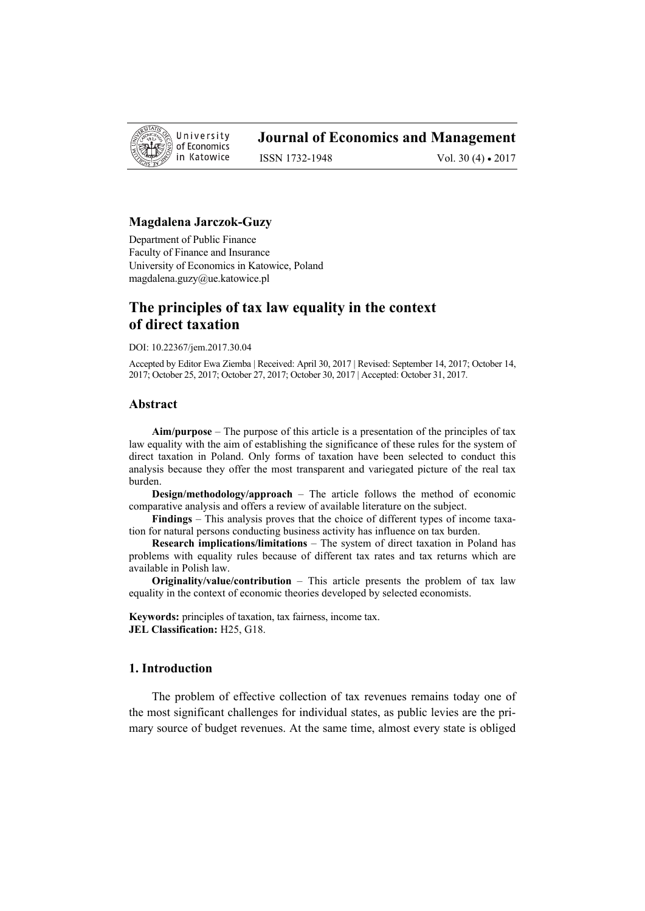

# **Journal of Economics and Management**

ISSN 1732-1948 Vol. 30 (4) • 2017

#### **Magdalena Jarczok-Guzy**

Department of Public Finance Faculty of Finance and Insurance University of Economics in Katowice, Poland magdalena.guzy@ue.katowice.pl

# **The principles of tax law equality in the context of direct taxation**

DOI: 10.22367/jem.2017.30.04

Accepted by Editor Ewa Ziemba | Received: April 30, 2017 | Revised: September 14, 2017; October 14, 2017; October 25, 2017; October 27, 2017; October 30, 2017 | Accepted: October 31, 2017.

## **Abstract**

**Aim/purpose** – The purpose of this article is a presentation of the principles of tax law equality with the aim of establishing the significance of these rules for the system of direct taxation in Poland. Only forms of taxation have been selected to conduct this analysis because they offer the most transparent and variegated picture of the real tax burden.

**Design/methodology/approach** – The article follows the method of economic comparative analysis and offers a review of available literature on the subject.

**Findings** – This analysis proves that the choice of different types of income taxation for natural persons conducting business activity has influence on tax burden.

**Research implications/limitations** – The system of direct taxation in Poland has problems with equality rules because of different tax rates and tax returns which are available in Polish law.

**Originality/value/contribution** – This article presents the problem of tax law equality in the context of economic theories developed by selected economists.

**Keywords:** principles of taxation, tax fairness, income tax. **JEL Classification:** H25, G18.

## **1. Introduction**

The problem of effective collection of tax revenues remains today one of the most significant challenges for individual states, as public levies are the primary source of budget revenues. At the same time, almost every state is obliged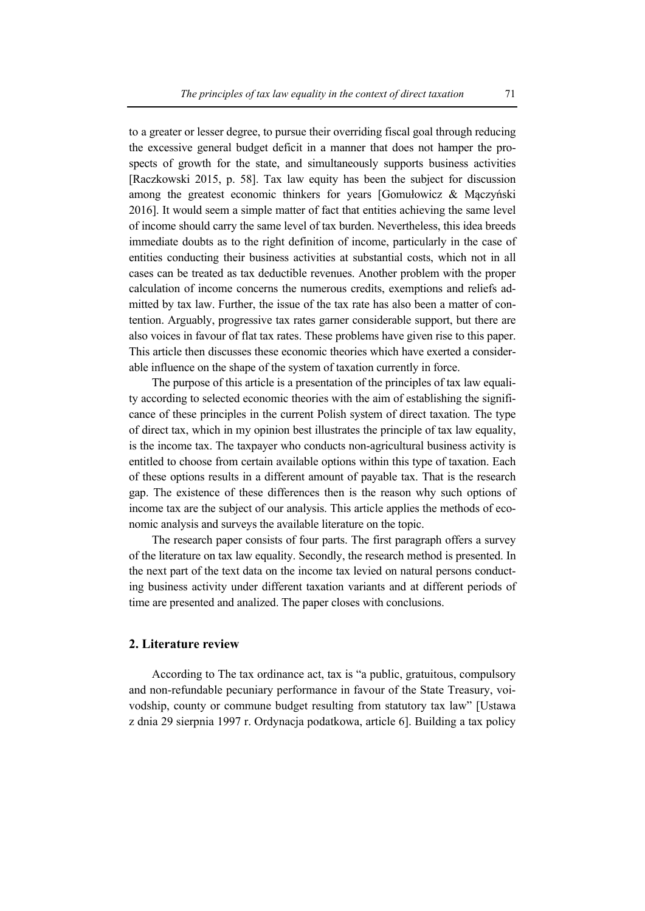to a greater or lesser degree, to pursue their overriding fiscal goal through reducing the excessive general budget deficit in a manner that does not hamper the prospects of growth for the state, and simultaneously supports business activities [Raczkowski 2015, p. 58]. Tax law equity has been the subject for discussion among the greatest economic thinkers for years [Gomułowicz & Mączyński 2016]. It would seem a simple matter of fact that entities achieving the same level of income should carry the same level of tax burden. Nevertheless, this idea breeds immediate doubts as to the right definition of income, particularly in the case of entities conducting their business activities at substantial costs, which not in all cases can be treated as tax deductible revenues. Another problem with the proper calculation of income concerns the numerous credits, exemptions and reliefs admitted by tax law. Further, the issue of the tax rate has also been a matter of contention. Arguably, progressive tax rates garner considerable support, but there are also voices in favour of flat tax rates. These problems have given rise to this paper. This article then discusses these economic theories which have exerted a considerable influence on the shape of the system of taxation currently in force.

The purpose of this article is a presentation of the principles of tax law equality according to selected economic theories with the aim of establishing the significance of these principles in the current Polish system of direct taxation. The type of direct tax, which in my opinion best illustrates the principle of tax law equality, is the income tax. The taxpayer who conducts non-agricultural business activity is entitled to choose from certain available options within this type of taxation. Each of these options results in a different amount of payable tax. That is the research gap. The existence of these differences then is the reason why such options of income tax are the subject of our analysis. This article applies the methods of economic analysis and surveys the available literature on the topic.

The research paper consists of four parts. The first paragraph offers a survey of the literature on tax law equality. Secondly, the research method is presented. In the next part of the text data on the income tax levied on natural persons conducting business activity under different taxation variants and at different periods of time are presented and analized. The paper closes with conclusions.

## **2. Literature review**

According to The tax ordinance act, tax is "a public, gratuitous, compulsory and non-refundable pecuniary performance in favour of the State Treasury, voivodship, county or commune budget resulting from statutory tax law" [Ustawa z dnia 29 sierpnia 1997 r. Ordynacja podatkowa, article 6]. Building a tax policy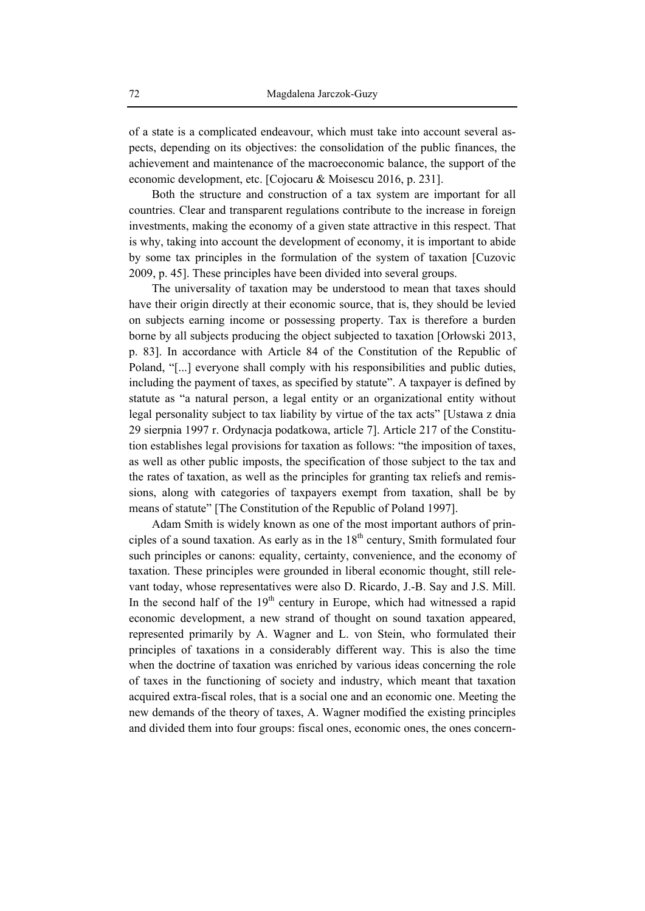of a state is a complicated endeavour, which must take into account several aspects, depending on its objectives: the consolidation of the public finances, the achievement and maintenance of the macroeconomic balance, the support of the economic development, etc. [Cojocaru & Moisescu 2016, p. 231].

Both the structure and construction of a tax system are important for all countries. Clear and transparent regulations contribute to the increase in foreign investments, making the economy of a given state attractive in this respect. That is why, taking into account the development of economy, it is important to abide by some tax principles in the formulation of the system of taxation [Cuzovic 2009, p. 45]. These principles have been divided into several groups.

The universality of taxation may be understood to mean that taxes should have their origin directly at their economic source, that is, they should be levied on subjects earning income or possessing property. Tax is therefore a burden borne by all subjects producing the object subjected to taxation [Orłowski 2013, p. 83]. In accordance with Article 84 of the Constitution of the Republic of Poland, "[...] everyone shall comply with his responsibilities and public duties, including the payment of taxes, as specified by statute". A taxpayer is defined by statute as "a natural person, a legal entity or an organizational entity without legal personality subject to tax liability by virtue of the tax acts" [Ustawa z dnia 29 sierpnia 1997 r. Ordynacja podatkowa, article 7]. Article 217 of the Constitution establishes legal provisions for taxation as follows: "the imposition of taxes, as well as other public imposts, the specification of those subject to the tax and the rates of taxation, as well as the principles for granting tax reliefs and remissions, along with categories of taxpayers exempt from taxation, shall be by means of statute" [The Constitution of the Republic of Poland 1997].

Adam Smith is widely known as one of the most important authors of principles of a sound taxation. As early as in the  $18<sup>th</sup>$  century, Smith formulated four such principles or canons: equality, certainty, convenience, and the economy of taxation. These principles were grounded in liberal economic thought, still relevant today, whose representatives were also D. Ricardo, J.-B. Say and J.S. Mill. In the second half of the  $19<sup>th</sup>$  century in Europe, which had witnessed a rapid economic development, a new strand of thought on sound taxation appeared, represented primarily by A. Wagner and L. von Stein, who formulated their principles of taxations in a considerably different way. This is also the time when the doctrine of taxation was enriched by various ideas concerning the role of taxes in the functioning of society and industry, which meant that taxation acquired extra-fiscal roles, that is a social one and an economic one. Meeting the new demands of the theory of taxes, A. Wagner modified the existing principles and divided them into four groups: fiscal ones, economic ones, the ones concern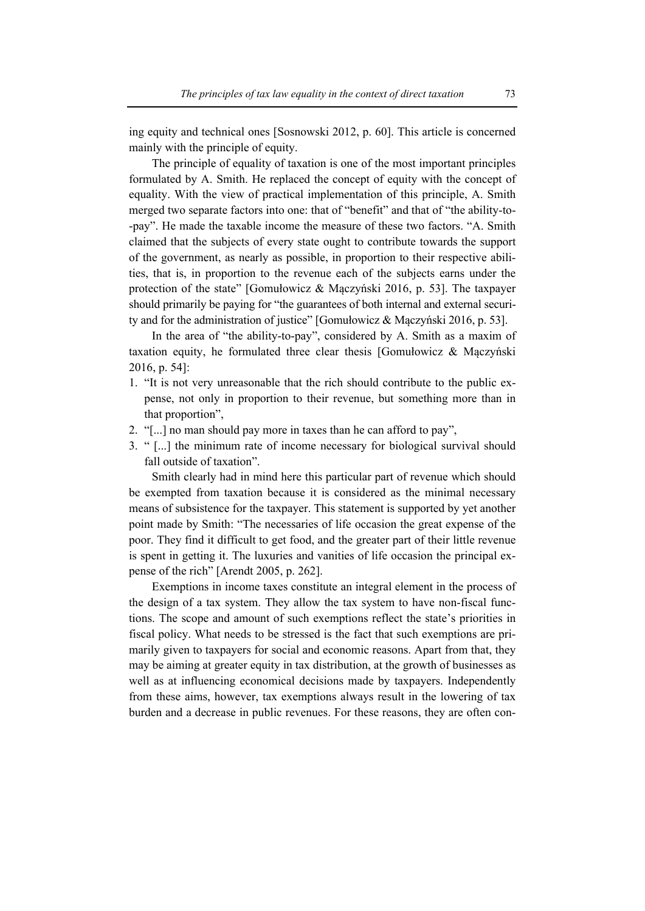ing equity and technical ones [Sosnowski 2012, p. 60]. This article is concerned mainly with the principle of equity.

The principle of equality of taxation is one of the most important principles formulated by A. Smith. He replaced the concept of equity with the concept of equality. With the view of practical implementation of this principle, A. Smith merged two separate factors into one: that of "benefit" and that of "the ability-to- -pay". He made the taxable income the measure of these two factors. "A. Smith claimed that the subjects of every state ought to contribute towards the support of the government, as nearly as possible, in proportion to their respective abilities, that is, in proportion to the revenue each of the subjects earns under the protection of the state" [Gomułowicz & Mączyński 2016, p. 53]. The taxpayer should primarily be paying for "the guarantees of both internal and external security and for the administration of justice" [Gomułowicz & Mączyński 2016, p. 53].

In the area of "the ability-to-pay", considered by A. Smith as a maxim of taxation equity, he formulated three clear thesis [Gomułowicz  $\&$  Maczyński 2016, p. 54]:

- 1. "It is not very unreasonable that the rich should contribute to the public expense, not only in proportion to their revenue, but something more than in that proportion",
- 2. "[...] no man should pay more in taxes than he can afford to pay",
- 3. " [...] the minimum rate of income necessary for biological survival should fall outside of taxation".

Smith clearly had in mind here this particular part of revenue which should be exempted from taxation because it is considered as the minimal necessary means of subsistence for the taxpayer. This statement is supported by yet another point made by Smith: "The necessaries of life occasion the great expense of the poor. They find it difficult to get food, and the greater part of their little revenue is spent in getting it. The luxuries and vanities of life occasion the principal expense of the rich" [Arendt 2005, p. 262].

Exemptions in income taxes constitute an integral element in the process of the design of a tax system. They allow the tax system to have non-fiscal functions. The scope and amount of such exemptions reflect the state's priorities in fiscal policy. What needs to be stressed is the fact that such exemptions are primarily given to taxpayers for social and economic reasons. Apart from that, they may be aiming at greater equity in tax distribution, at the growth of businesses as well as at influencing economical decisions made by taxpayers. Independently from these aims, however, tax exemptions always result in the lowering of tax burden and a decrease in public revenues. For these reasons, they are often con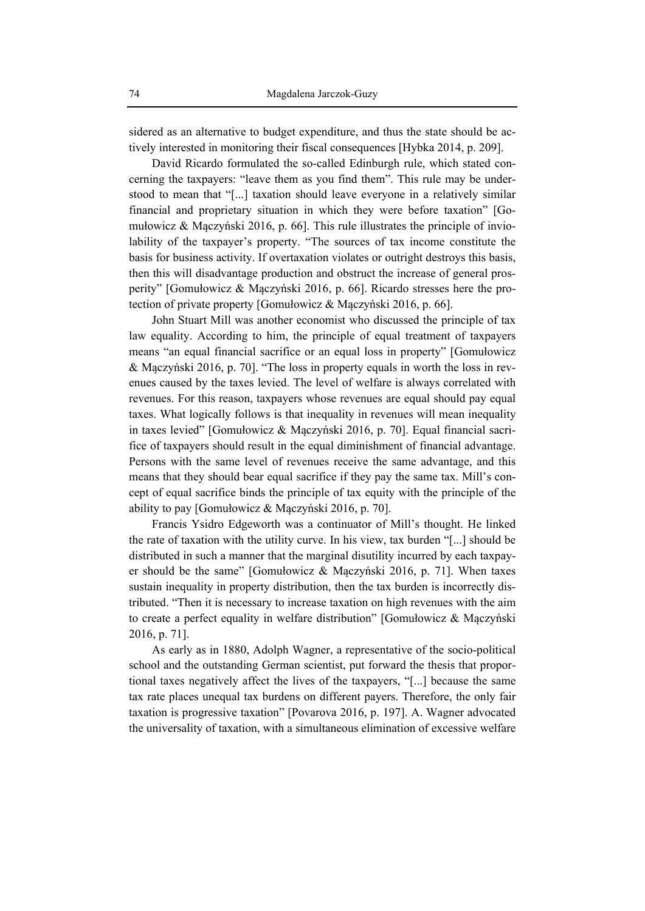sidered as an alternative to budget expenditure, and thus the state should be actively interested in monitoring their fiscal consequences [Hybka 2014, p. 209].

David Ricardo formulated the so-called Edinburgh rule, which stated concerning the taxpayers: "leave them as you find them". This rule may be understood to mean that "[...] taxation should leave everyone in a relatively similar financial and proprietary situation in which they were before taxation" [Gomułowicz & Mączyński 2016, p. 66]. This rule illustrates the principle of inviolability of the taxpayer's property. "The sources of tax income constitute the basis for business activity. If overtaxation violates or outright destroys this basis, then this will disadvantage production and obstruct the increase of general prosperity" [Gomułowicz & Mączyński 2016, p. 66]. Ricardo stresses here the protection of private property [Gomułowicz & Mączyński 2016, p. 66].

John Stuart Mill was another economist who discussed the principle of tax law equality. According to him, the principle of equal treatment of taxpayers means "an equal financial sacrifice or an equal loss in property" [Gomułowicz & Mączyński 2016, p. 70]. "The loss in property equals in worth the loss in revenues caused by the taxes levied. The level of welfare is always correlated with revenues. For this reason, taxpayers whose revenues are equal should pay equal taxes. What logically follows is that inequality in revenues will mean inequality in taxes levied" [Gomułowicz & Mączyński 2016, p. 70]. Equal financial sacrifice of taxpayers should result in the equal diminishment of financial advantage. Persons with the same level of revenues receive the same advantage, and this means that they should bear equal sacrifice if they pay the same tax. Mill's concept of equal sacrifice binds the principle of tax equity with the principle of the ability to pay [Gomułowicz & Mączyński 2016, p. 70].

Francis Ysidro Edgeworth was a continuator of Mill's thought. He linked the rate of taxation with the utility curve. In his view, tax burden "[...] should be distributed in such a manner that the marginal disutility incurred by each taxpayer should be the same" [Gomułowicz & Mączyński 2016, p. 71]. When taxes sustain inequality in property distribution, then the tax burden is incorrectly distributed. "Then it is necessary to increase taxation on high revenues with the aim to create a perfect equality in welfare distribution" [Gomułowicz & Mączyński 2016, p. 71].

As early as in 1880, Adolph Wagner, a representative of the socio-political school and the outstanding German scientist, put forward the thesis that proportional taxes negatively affect the lives of the taxpayers, "[...] because the same tax rate places unequal tax burdens on different payers. Therefore, the only fair taxation is progressive taxation" [Povarova 2016, p. 197]. A. Wagner advocated the universality of taxation, with a simultaneous elimination of excessive welfare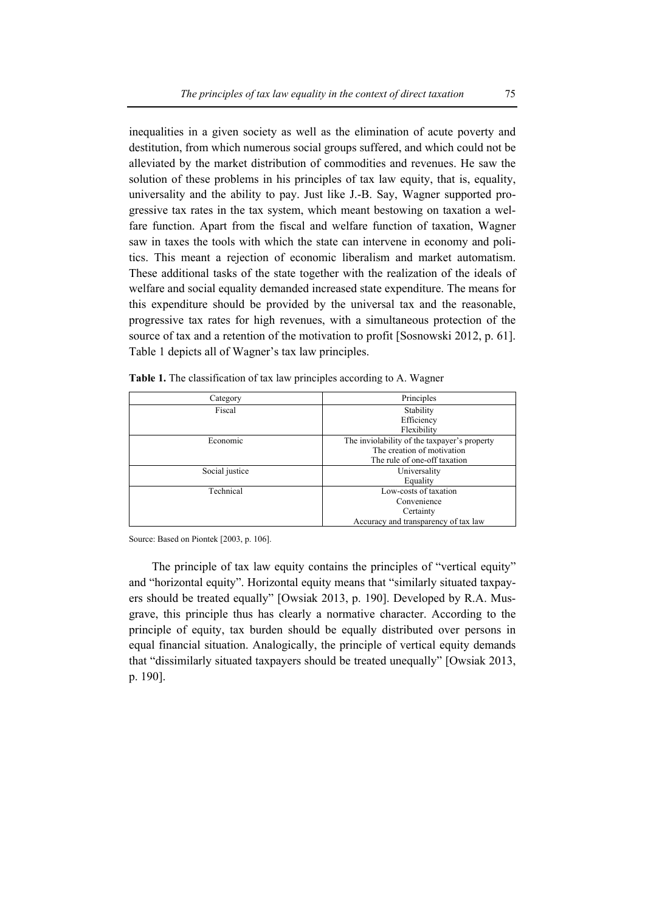inequalities in a given society as well as the elimination of acute poverty and destitution, from which numerous social groups suffered, and which could not be alleviated by the market distribution of commodities and revenues. He saw the solution of these problems in his principles of tax law equity, that is, equality, universality and the ability to pay. Just like J.-B. Say, Wagner supported progressive tax rates in the tax system, which meant bestowing on taxation a welfare function. Apart from the fiscal and welfare function of taxation, Wagner saw in taxes the tools with which the state can intervene in economy and politics. This meant a rejection of economic liberalism and market automatism. These additional tasks of the state together with the realization of the ideals of welfare and social equality demanded increased state expenditure. The means for this expenditure should be provided by the universal tax and the reasonable, progressive tax rates for high revenues, with a simultaneous protection of the source of tax and a retention of the motivation to profit [Sosnowski 2012, p. 61]. Table 1 depicts all of Wagner's tax law principles.

| Category       | Principles                                   |  |
|----------------|----------------------------------------------|--|
| Fiscal         | Stability                                    |  |
|                | Efficiency                                   |  |
|                | Flexibility                                  |  |
| Economic       | The inviolability of the taxpayer's property |  |
|                | The creation of motivation                   |  |
|                | The rule of one-off taxation                 |  |
| Social justice | Universality                                 |  |
|                | Equality                                     |  |
| Technical      | Low-costs of taxation                        |  |
|                | Convenience                                  |  |
|                | Certainty                                    |  |
|                | Accuracy and transparency of tax law         |  |

| Table 1. The classification of tax law principles according to A. Wagner |
|--------------------------------------------------------------------------|
|--------------------------------------------------------------------------|

Source: Based on Piontek [2003, p. 106].

The principle of tax law equity contains the principles of "vertical equity" and "horizontal equity". Horizontal equity means that "similarly situated taxpayers should be treated equally" [Owsiak 2013, p. 190]. Developed by R.A. Musgrave, this principle thus has clearly a normative character. According to the principle of equity, tax burden should be equally distributed over persons in equal financial situation. Analogically, the principle of vertical equity demands that "dissimilarly situated taxpayers should be treated unequally" [Owsiak 2013, p. 190].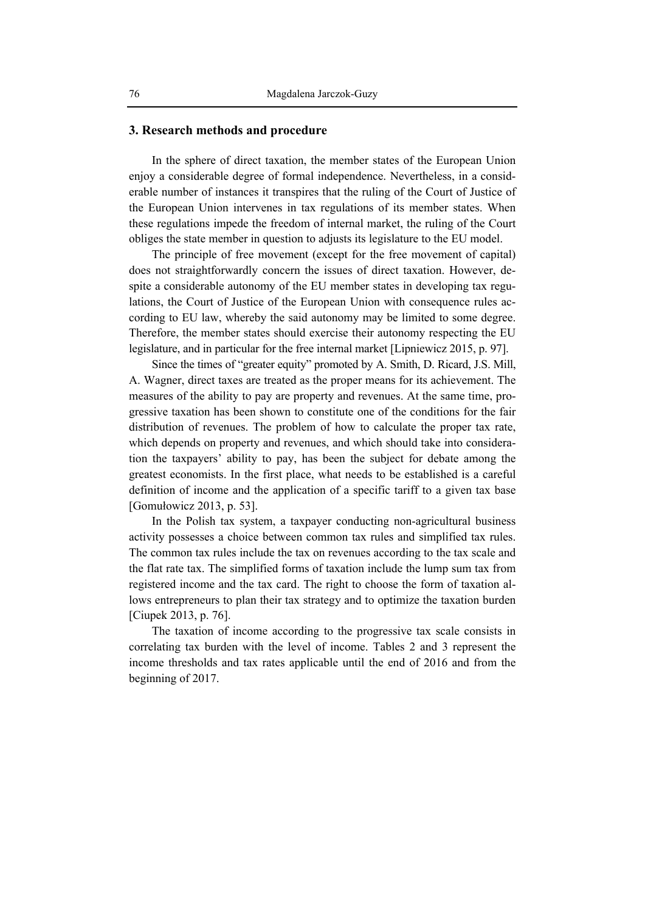#### **3. Research methods and procedure**

In the sphere of direct taxation, the member states of the European Union enjoy a considerable degree of formal independence. Nevertheless, in a considerable number of instances it transpires that the ruling of the Court of Justice of the European Union intervenes in tax regulations of its member states. When these regulations impede the freedom of internal market, the ruling of the Court obliges the state member in question to adjusts its legislature to the EU model.

The principle of free movement (except for the free movement of capital) does not straightforwardly concern the issues of direct taxation. However, despite a considerable autonomy of the EU member states in developing tax regulations, the Court of Justice of the European Union with consequence rules according to EU law, whereby the said autonomy may be limited to some degree. Therefore, the member states should exercise their autonomy respecting the EU legislature, and in particular for the free internal market [Lipniewicz 2015, p. 97].

Since the times of "greater equity" promoted by A. Smith, D. Ricard, J.S. Mill, A. Wagner, direct taxes are treated as the proper means for its achievement. The measures of the ability to pay are property and revenues. At the same time, progressive taxation has been shown to constitute one of the conditions for the fair distribution of revenues. The problem of how to calculate the proper tax rate, which depends on property and revenues, and which should take into consideration the taxpayers' ability to pay, has been the subject for debate among the greatest economists. In the first place, what needs to be established is a careful definition of income and the application of a specific tariff to a given tax base [Gomułowicz 2013, p. 53].

In the Polish tax system, a taxpayer conducting non-agricultural business activity possesses a choice between common tax rules and simplified tax rules. The common tax rules include the tax on revenues according to the tax scale and the flat rate tax. The simplified forms of taxation include the lump sum tax from registered income and the tax card. The right to choose the form of taxation allows entrepreneurs to plan their tax strategy and to optimize the taxation burden [Ciupek 2013, p. 76].

The taxation of income according to the progressive tax scale consists in correlating tax burden with the level of income. Tables 2 and 3 represent the income thresholds and tax rates applicable until the end of 2016 and from the beginning of 2017.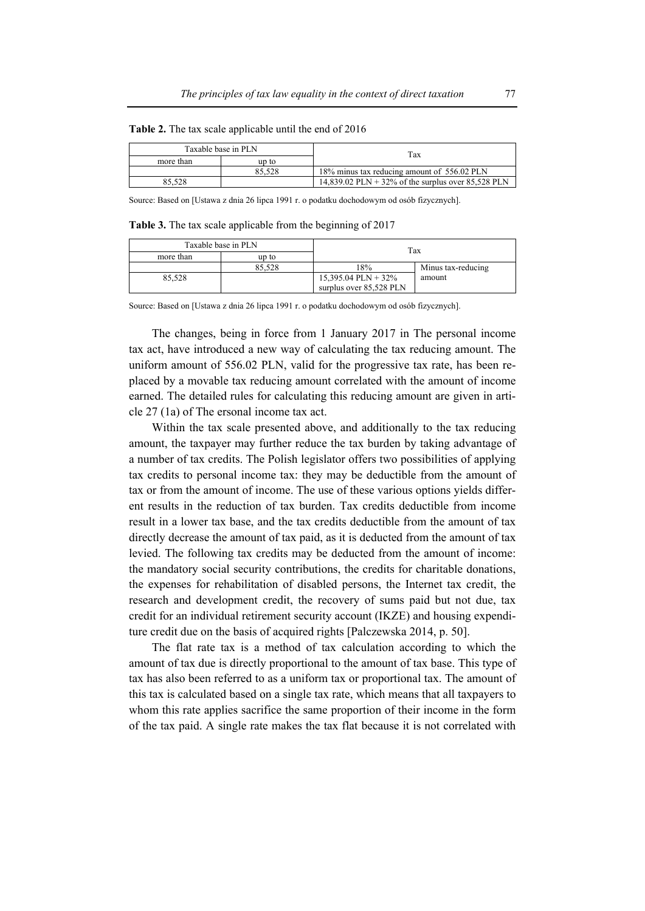| Taxable base in PLN |        | Tax                                                |  |
|---------------------|--------|----------------------------------------------------|--|
| more than           | up to  |                                                    |  |
|                     | 85.528 | 18% minus tax reducing amount of 556.02 PLN        |  |
| 85.528              |        | 14,839.02 PLN + 32% of the surplus over 85,528 PLN |  |

**Table 2.** The tax scale applicable until the end of 2016

Source: Based on [Ustawa z dnia 26 lipca 1991 r. o podatku dochodowym od osób fizycznych].

**Table 3.** The tax scale applicable from the beginning of 2017

| Taxable base in PLN |        | Tax                     |                    |
|---------------------|--------|-------------------------|--------------------|
| more than           | up to  |                         |                    |
|                     | 85.528 | 18%                     | Minus tax-reducing |
| 85.528              |        | $15,395.04$ PLN + 32%   | amount             |
|                     |        | surplus over 85,528 PLN |                    |

Source: Based on [Ustawa z dnia 26 lipca 1991 r. o podatku dochodowym od osób fizycznych].

The changes, being in force from 1 January 2017 in The personal income tax act, have introduced a new way of calculating the tax reducing amount. The uniform amount of 556.02 PLN, valid for the progressive tax rate, has been replaced by a movable tax reducing amount correlated with the amount of income earned. The detailed rules for calculating this reducing amount are given in article 27 (1a) of The ersonal income tax act.

Within the tax scale presented above, and additionally to the tax reducing amount, the taxpayer may further reduce the tax burden by taking advantage of a number of tax credits. The Polish legislator offers two possibilities of applying tax credits to personal income tax: they may be deductible from the amount of tax or from the amount of income. The use of these various options yields different results in the reduction of tax burden. Tax credits deductible from income result in a lower tax base, and the tax credits deductible from the amount of tax directly decrease the amount of tax paid, as it is deducted from the amount of tax levied. The following tax credits may be deducted from the amount of income: the mandatory social security contributions, the credits for charitable donations, the expenses for rehabilitation of disabled persons, the Internet tax credit, the research and development credit, the recovery of sums paid but not due, tax credit for an individual retirement security account (IKZE) and housing expenditure credit due on the basis of acquired rights [Palczewska 2014, p. 50].

The flat rate tax is a method of tax calculation according to which the amount of tax due is directly proportional to the amount of tax base. This type of tax has also been referred to as a uniform tax or proportional tax. The amount of this tax is calculated based on a single tax rate, which means that all taxpayers to whom this rate applies sacrifice the same proportion of their income in the form of the tax paid. A single rate makes the tax flat because it is not correlated with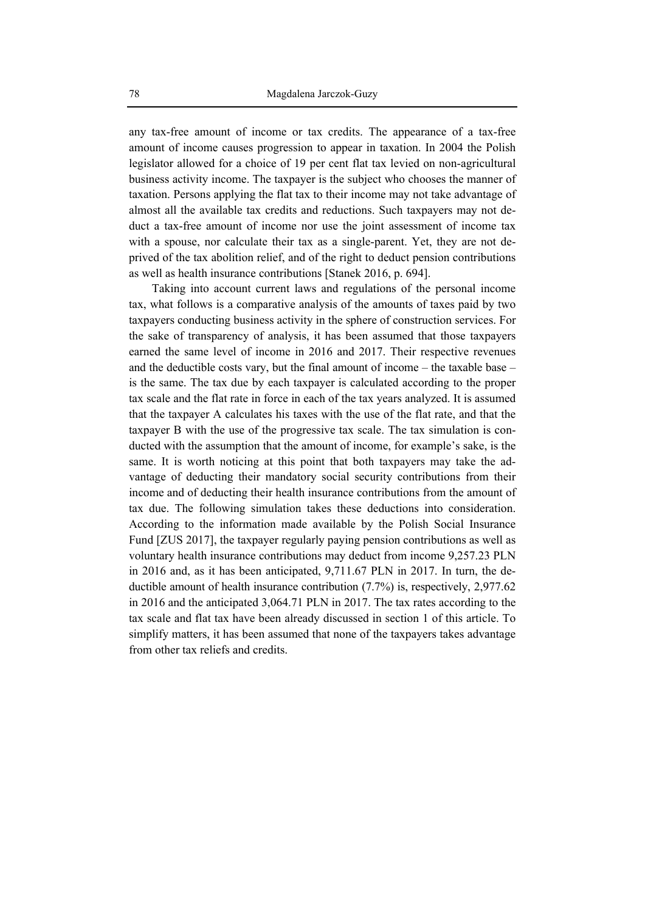any tax-free amount of income or tax credits. The appearance of a tax-free amount of income causes progression to appear in taxation. In 2004 the Polish legislator allowed for a choice of 19 per cent flat tax levied on non-agricultural business activity income. The taxpayer is the subject who chooses the manner of taxation. Persons applying the flat tax to their income may not take advantage of almost all the available tax credits and reductions. Such taxpayers may not deduct a tax-free amount of income nor use the joint assessment of income tax with a spouse, nor calculate their tax as a single-parent. Yet, they are not deprived of the tax abolition relief, and of the right to deduct pension contributions as well as health insurance contributions [Stanek 2016, p. 694].

Taking into account current laws and regulations of the personal income tax, what follows is a comparative analysis of the amounts of taxes paid by two taxpayers conducting business activity in the sphere of construction services. For the sake of transparency of analysis, it has been assumed that those taxpayers earned the same level of income in 2016 and 2017. Their respective revenues and the deductible costs vary, but the final amount of income – the taxable base – is the same. The tax due by each taxpayer is calculated according to the proper tax scale and the flat rate in force in each of the tax years analyzed. It is assumed that the taxpayer A calculates his taxes with the use of the flat rate, and that the taxpayer B with the use of the progressive tax scale. The tax simulation is conducted with the assumption that the amount of income, for example's sake, is the same. It is worth noticing at this point that both taxpayers may take the advantage of deducting their mandatory social security contributions from their income and of deducting their health insurance contributions from the amount of tax due. The following simulation takes these deductions into consideration. According to the information made available by the Polish Social Insurance Fund [ZUS 2017], the taxpayer regularly paying pension contributions as well as voluntary health insurance contributions may deduct from income 9,257.23 PLN in 2016 and, as it has been anticipated, 9,711.67 PLN in 2017. In turn, the deductible amount of health insurance contribution (7.7%) is, respectively, 2,977.62 in 2016 and the anticipated 3,064.71 PLN in 2017. The tax rates according to the tax scale and flat tax have been already discussed in section 1 of this article. To simplify matters, it has been assumed that none of the taxpayers takes advantage from other tax reliefs and credits.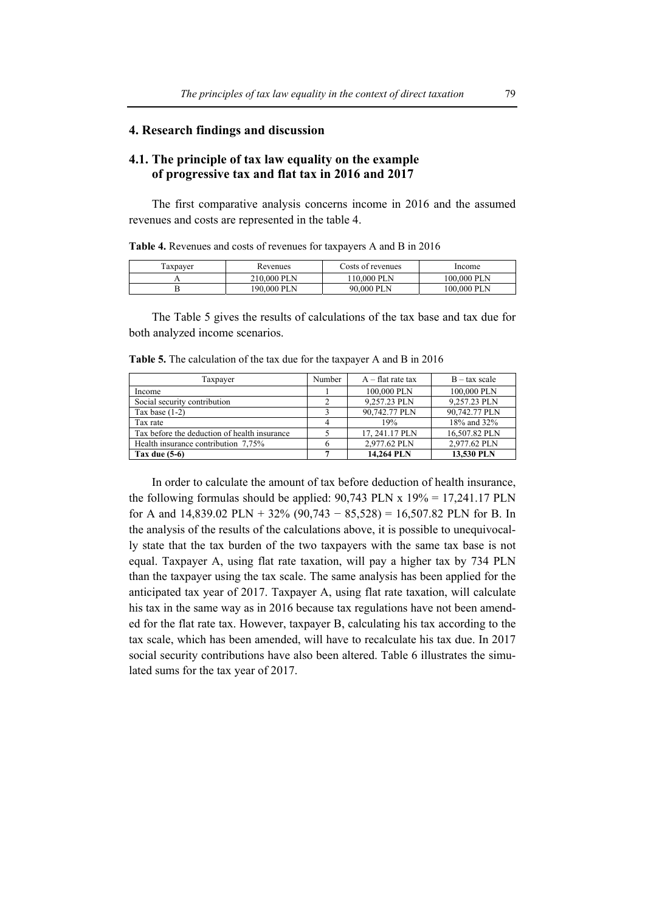## **4. Research findings and discussion**

# **4.1. The principle of tax law equality on the example of progressive tax and flat tax in 2016 and 2017**

The first comparative analysis concerns income in 2016 and the assumed revenues and costs are represented in the table 4.

**Table 4.** Revenues and costs of revenues for taxpayers A and B in 2016

| axpayer | Revenues    | Costs of revenues | Income      |
|---------|-------------|-------------------|-------------|
|         | 210,000 PLN | $10.000$ PLN      | 100.000 PLN |
|         | 190.000 PLN | 90.000 PLN        | 100.000 PLN |

The Table 5 gives the results of calculations of the tax base and tax due for both analyzed income scenarios.

| Taxpayer                                     | Number | $A$ – flat rate tax | $B - tax scale$ |
|----------------------------------------------|--------|---------------------|-----------------|
| Income                                       |        | 100,000 PLN         | 100,000 PLN     |
| Social security contribution                 |        | 9.257.23 PLN        | 9.257.23 PLN    |
| Tax base $(1-2)$                             |        | 90,742.77 PLN       | 90,742.77 PLN   |
| Tax rate                                     | 4      | 19%                 | 18% and 32%     |
| Tax before the deduction of health insurance |        | 17.241.17 PLN       | 16,507.82 PLN   |
| Health insurance contribution 7,75%          | h      | 2.977.62 PLN        | 2.977.62 PLN    |
| Tax due $(5-6)$                              |        | 14.264 PLN          | 13,530 PLN      |

**Table 5.** The calculation of the tax due for the taxpayer A and B in 2016

In order to calculate the amount of tax before deduction of health insurance, the following formulas should be applied:  $90,743$  PLN x  $19\% = 17,241.17$  PLN for A and  $14,839.02$  PLN +  $32\%$  (90,743 –  $85,528$ ) = 16,507.82 PLN for B. In the analysis of the results of the calculations above, it is possible to unequivocally state that the tax burden of the two taxpayers with the same tax base is not equal. Taxpayer A, using flat rate taxation, will pay a higher tax by 734 PLN than the taxpayer using the tax scale. The same analysis has been applied for the anticipated tax year of 2017. Taxpayer A, using flat rate taxation, will calculate his tax in the same way as in 2016 because tax regulations have not been amended for the flat rate tax. However, taxpayer B, calculating his tax according to the tax scale, which has been amended, will have to recalculate his tax due. In 2017 social security contributions have also been altered. Table 6 illustrates the simulated sums for the tax year of 2017.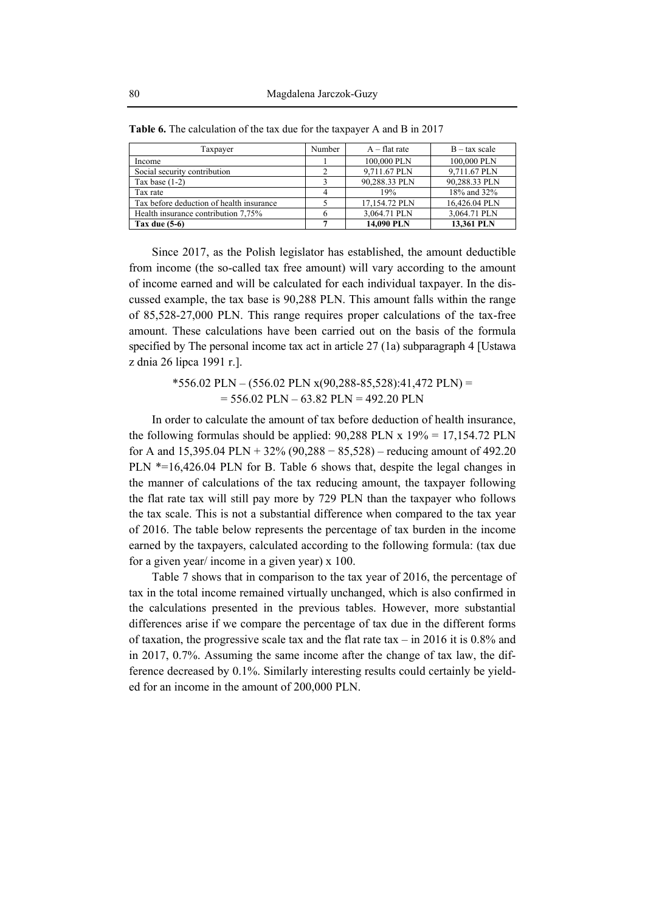| Taxpayer                                 | Number | $A$ – flat rate | $B - tax scale$ |
|------------------------------------------|--------|-----------------|-----------------|
| Income                                   |        | 100,000 PLN     | 100,000 PLN     |
| Social security contribution             |        | 9,711.67 PLN    | 9,711.67 PLN    |
| Tax base $(1-2)$                         |        | 90,288.33 PLN   | 90,288.33 PLN   |
| Tax rate                                 |        | 19%             | 18% and 32%     |
| Tax before deduction of health insurance |        | 17,154.72 PLN   | 16,426.04 PLN   |
| Health insurance contribution 7,75%      |        | 3,064.71 PLN    | 3,064.71 PLN    |
| Tax due $(5-6)$                          |        | 14.090 PLN      | 13.361 PLN      |

**Table 6.** The calculation of the tax due for the taxpayer A and B in 2017

Since 2017, as the Polish legislator has established, the amount deductible from income (the so-called tax free amount) will vary according to the amount of income earned and will be calculated for each individual taxpayer. In the discussed example, the tax base is 90,288 PLN. This amount falls within the range of 85,528-27,000 PLN. This range requires proper calculations of the tax-free amount. These calculations have been carried out on the basis of the formula specified by The personal income tax act in article 27 (1a) subparagraph 4 [Ustawa z dnia 26 lipca 1991 r.].

> $*556.02$  PLN – (556.02 PLN x(90,288-85,528):41,472 PLN) =  $= 556.02$  PLN  $- 63.82$  PLN  $= 492.20$  PLN

In order to calculate the amount of tax before deduction of health insurance, the following formulas should be applied:  $90,288$  PLN x  $19\% = 17,154.72$  PLN for A and  $15,395.04$  PLN +  $32\%$  (90,288 –  $85,528$ ) – reducing amount of 492.20 PLN \*=16,426.04 PLN for B. Table 6 shows that, despite the legal changes in the manner of calculations of the tax reducing amount, the taxpayer following the flat rate tax will still pay more by 729 PLN than the taxpayer who follows the tax scale. This is not a substantial difference when compared to the tax year of 2016. The table below represents the percentage of tax burden in the income earned by the taxpayers, calculated according to the following formula: (tax due for a given year/ income in a given year) x 100.

Table 7 shows that in comparison to the tax year of 2016, the percentage of tax in the total income remained virtually unchanged, which is also confirmed in the calculations presented in the previous tables. However, more substantial differences arise if we compare the percentage of tax due in the different forms of taxation, the progressive scale tax and the flat rate tax – in 2016 it is 0.8% and in 2017, 0.7%. Assuming the same income after the change of tax law, the difference decreased by 0.1%. Similarly interesting results could certainly be yielded for an income in the amount of 200,000 PLN.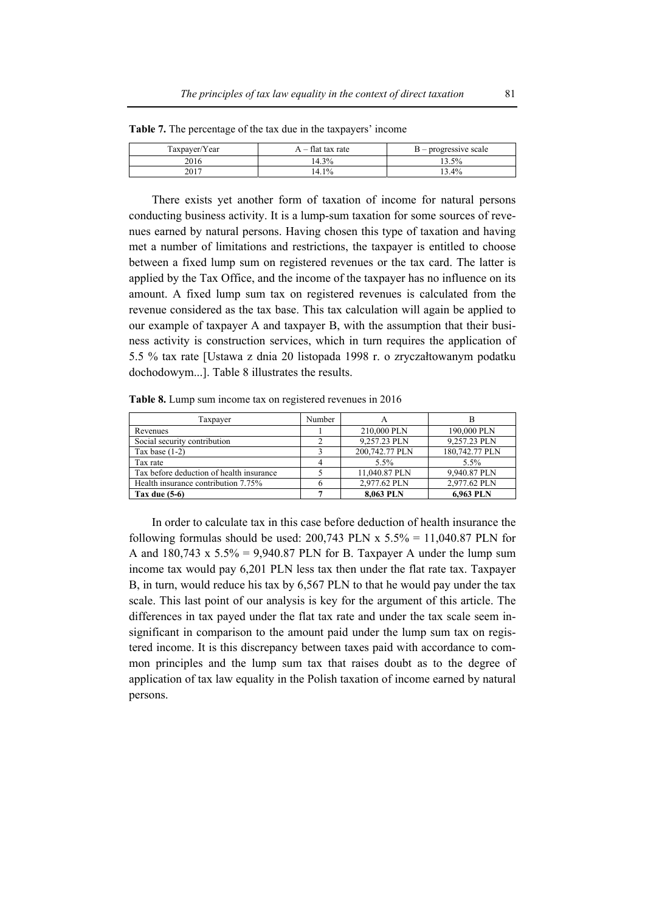| Taxpayer/Year | tlat tax rate<br>$\overline{\phantom{0}}$ | ' – progressive scale |
|---------------|-------------------------------------------|-----------------------|
| 2016          | 3%<br>14.1                                | 3.5%                  |
| 2017          | $1\%$<br>14.1                             | $3.4\%$               |

**Table 7.** The percentage of the tax due in the taxpayers' income

There exists yet another form of taxation of income for natural persons conducting business activity. It is a lump-sum taxation for some sources of revenues earned by natural persons. Having chosen this type of taxation and having met a number of limitations and restrictions, the taxpayer is entitled to choose between a fixed lump sum on registered revenues or the tax card. The latter is applied by the Tax Office, and the income of the taxpayer has no influence on its amount. A fixed lump sum tax on registered revenues is calculated from the revenue considered as the tax base. This tax calculation will again be applied to our example of taxpayer A and taxpayer B, with the assumption that their business activity is construction services, which in turn requires the application of 5.5 % tax rate [Ustawa z dnia 20 listopada 1998 r. o zryczałtowanym podatku dochodowym...]. Table 8 illustrates the results.

**Table 8.** Lump sum income tax on registered revenues in 2016

| Taxpayer                                 | Number |                | В              |
|------------------------------------------|--------|----------------|----------------|
| Revenues                                 |        | 210,000 PLN    | 190,000 PLN    |
| Social security contribution             |        | 9.257.23 PLN   | 9.257.23 PLN   |
| Tax base $(1-2)$                         |        | 200,742.77 PLN | 180,742.77 PLN |
| Tax rate                                 |        | $5.5\%$        | $5.5\%$        |
| Tax before deduction of health insurance |        | 11.040.87 PLN  | 9,940.87 PLN   |
| Health insurance contribution 7.75%      |        | 2,977.62 PLN   | 2,977.62 PLN   |
| Tax due $(5-6)$                          |        | 8.063 PLN      | 6,963 PLN      |

In order to calculate tax in this case before deduction of health insurance the following formulas should be used:  $200,743$  PLN x  $5.5\% = 11,040.87$  PLN for A and  $180,743 \times 5.5\% = 9,940.87$  PLN for B. Taxpayer A under the lump sum income tax would pay 6,201 PLN less tax then under the flat rate tax. Taxpayer B, in turn, would reduce his tax by 6,567 PLN to that he would pay under the tax scale. This last point of our analysis is key for the argument of this article. The differences in tax payed under the flat tax rate and under the tax scale seem insignificant in comparison to the amount paid under the lump sum tax on registered income. It is this discrepancy between taxes paid with accordance to common principles and the lump sum tax that raises doubt as to the degree of application of tax law equality in the Polish taxation of income earned by natural persons.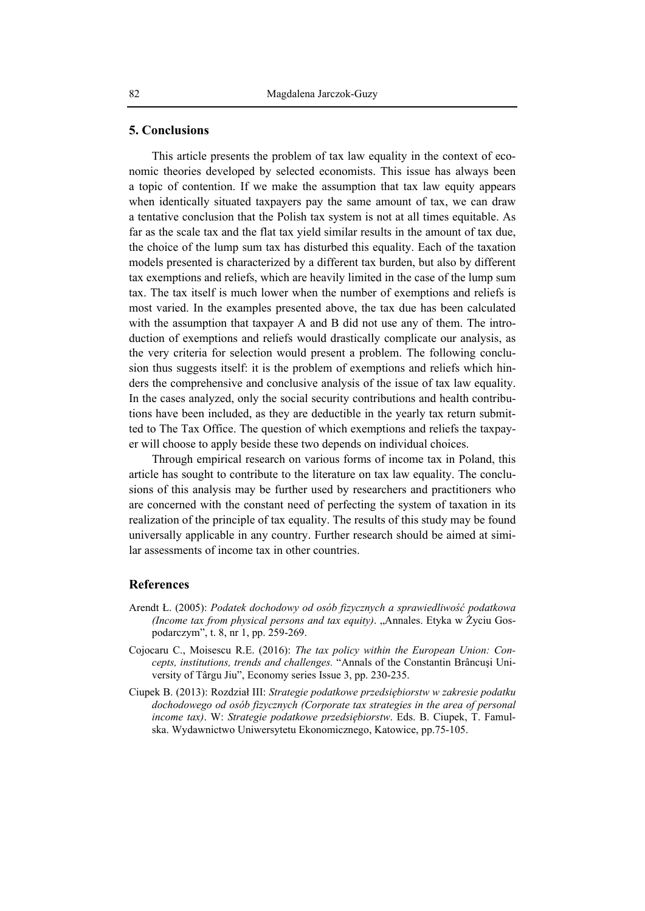#### **5. Conclusions**

This article presents the problem of tax law equality in the context of economic theories developed by selected economists. This issue has always been a topic of contention. If we make the assumption that tax law equity appears when identically situated taxpayers pay the same amount of tax, we can draw a tentative conclusion that the Polish tax system is not at all times equitable. As far as the scale tax and the flat tax yield similar results in the amount of tax due, the choice of the lump sum tax has disturbed this equality. Each of the taxation models presented is characterized by a different tax burden, but also by different tax exemptions and reliefs, which are heavily limited in the case of the lump sum tax. The tax itself is much lower when the number of exemptions and reliefs is most varied. In the examples presented above, the tax due has been calculated with the assumption that taxpayer A and B did not use any of them. The introduction of exemptions and reliefs would drastically complicate our analysis, as the very criteria for selection would present a problem. The following conclusion thus suggests itself: it is the problem of exemptions and reliefs which hinders the comprehensive and conclusive analysis of the issue of tax law equality. In the cases analyzed, only the social security contributions and health contributions have been included, as they are deductible in the yearly tax return submitted to The Tax Office. The question of which exemptions and reliefs the taxpayer will choose to apply beside these two depends on individual choices.

Through empirical research on various forms of income tax in Poland, this article has sought to contribute to the literature on tax law equality. The conclusions of this analysis may be further used by researchers and practitioners who are concerned with the constant need of perfecting the system of taxation in its realization of the principle of tax equality. The results of this study may be found universally applicable in any country. Further research should be aimed at similar assessments of income tax in other countries.

#### **References**

- Arendt Ł. (2005): *Podatek dochodowy od osób fizycznych a sprawiedliwość podatkowa (Income tax from physical persons and tax equity)*. "Annales. Etyka w Życiu Gospodarczym", t. 8, nr 1, pp. 259-269.
- Cojocaru C., Moisescu R.E. (2016): *The tax policy within the European Union: Concepts, institutions, trends and challenges.* "Annals of the Constantin Brâncuşi University of Târgu Jiu", Economy series Issue 3, pp. 230-235.
- Ciupek B. (2013): Rozdział III: *Strategie podatkowe przedsiębiorstw w zakresie podatku dochodowego od osób fizycznych (Corporate tax strategies in the area of personal income tax)*. W: *Strategie podatkowe przedsiębiorstw*. Eds. B. Ciupek, T. Famulska. Wydawnictwo Uniwersytetu Ekonomicznego, Katowice, pp.75-105.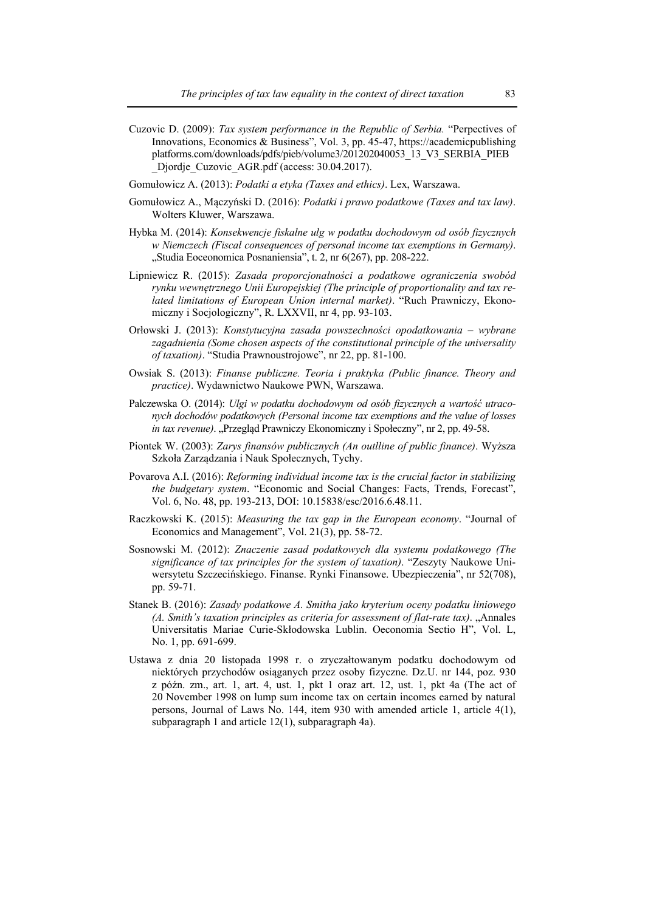- Cuzovic D. (2009): *Tax system performance in the Republic of Serbia.* "Perpectives of Innovations, Economics & Business", Vol. 3, pp. 45-47, https://academicpublishing platforms.com/downloads/pdfs/pieb/volume3/201202040053\_13\_V3\_SERBIA\_PIEB Djordje Cuzovic AGR.pdf (access: 30.04.2017).
- Gomułowicz A. (2013): *Podatki a etyka (Taxes and ethics)*. Lex, Warszawa.
- Gomułowicz A., Mączyński D. (2016): *Podatki i prawo podatkowe (Taxes and tax law)*. Wolters Kluwer, Warszawa.
- Hybka M. (2014): *Konsekwencje fiskalne ulg w podatku dochodowym od osób fizycznych w Niemczech (Fiscal consequences of personal income tax exemptions in Germany)*. "Studia Eoceonomica Posnaniensia", t. 2, nr 6(267), pp. 208-222.
- Lipniewicz R. (2015): *Zasada proporcjonalności a podatkowe ograniczenia swobód rynku wewnętrznego Unii Europejskiej (The principle of proportionality and tax related limitations of European Union internal market)*. "Ruch Prawniczy, Ekonomiczny i Socjologiczny", R. LXXVII, nr 4, pp. 93-103.
- Orłowski J. (2013): *Konstytucyjna zasada powszechności opodatkowania wybrane zagadnienia (Some chosen aspects of the constitutional principle of the universality of taxation)*. "Studia Prawnoustrojowe", nr 22, pp. 81-100.
- Owsiak S. (2013): *Finanse publiczne. Teoria i praktyka (Public finance. Theory and practice)*. Wydawnictwo Naukowe PWN, Warszawa.
- Palczewska O. (2014): *Ulgi w podatku dochodowym od osób fizycznych a wartość utraconych dochodów podatkowych (Personal income tax exemptions and the value of losses in tax revenue*). "Przegląd Prawniczy Ekonomiczny i Społeczny", nr 2, pp. 49-58.
- Piontek W. (2003): *Zarys finansów publicznych (An outlline of public finance)*. Wyższa Szkoła Zarządzania i Nauk Społecznych, Tychy.
- Povarova A.I. (2016): *Reforming individual income tax is the crucial factor in stabilizing the budgetary system*. "Economic and Social Changes: Facts, Trends, Forecast", Vol. 6, No. 48, pp. 193-213, DOI: 10.15838/esc/2016.6.48.11.
- Raczkowski K. (2015): *Measuring the tax gap in the European economy*. "Journal of Economics and Management", Vol. 21(3), pp. 58-72.
- Sosnowski M. (2012): *Znaczenie zasad podatkowych dla systemu podatkowego (The significance of tax principles for the system of taxation)*. "Zeszyty Naukowe Uniwersytetu Szczecińskiego. Finanse. Rynki Finansowe. Ubezpieczenia", nr 52(708), pp. 59-71.
- Stanek B. (2016): *Zasady podatkowe A. Smitha jako kryterium oceny podatku liniowego (A. Smith's taxation principles as criteria for assessment of flat-rate tax)*. "Annales Universitatis Mariae Curie-Skłodowska Lublin. Oeconomia Sectio H", Vol. L, No. 1, pp. 691-699.
- Ustawa z dnia 20 listopada 1998 r. o zryczałtowanym podatku dochodowym od niektórych przychodów osiąganych przez osoby fizyczne. Dz.U. nr 144, poz. 930 z późn. zm., art. 1, art. 4, ust. 1, pkt 1 oraz art. 12, ust. 1, pkt 4a (The act of 20 November 1998 on lump sum income tax on certain incomes earned by natural persons, Journal of Laws No. 144, item 930 with amended article 1, article 4(1), subparagraph 1 and article 12(1), subparagraph 4a).